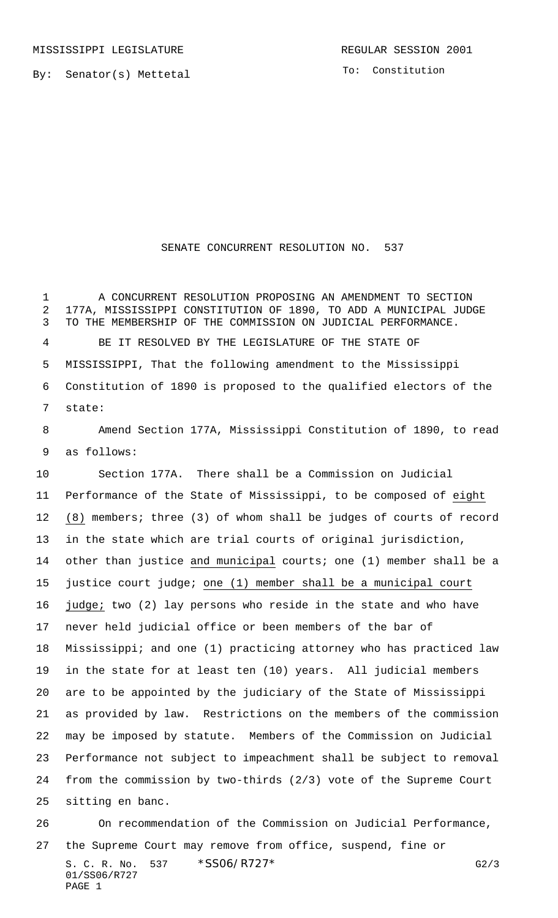By: Senator(s) Mettetal

To: Constitution

## SENATE CONCURRENT RESOLUTION NO. 537

 A CONCURRENT RESOLUTION PROPOSING AN AMENDMENT TO SECTION 177A, MISSISSIPPI CONSTITUTION OF 1890, TO ADD A MUNICIPAL JUDGE TO THE MEMBERSHIP OF THE COMMISSION ON JUDICIAL PERFORMANCE. BE IT RESOLVED BY THE LEGISLATURE OF THE STATE OF MISSISSIPPI, That the following amendment to the Mississippi Constitution of 1890 is proposed to the qualified electors of the state:

 Amend Section 177A, Mississippi Constitution of 1890, to read as follows:

 Section 177A. There shall be a Commission on Judicial Performance of the State of Mississippi, to be composed of eight (8) members; three (3) of whom shall be judges of courts of record in the state which are trial courts of original jurisdiction, other than justice and municipal courts; one (1) member shall be a justice court judge; one (1) member shall be a municipal court judge; two (2) lay persons who reside in the state and who have never held judicial office or been members of the bar of Mississippi; and one (1) practicing attorney who has practiced law in the state for at least ten (10) years. All judicial members are to be appointed by the judiciary of the State of Mississippi as provided by law. Restrictions on the members of the commission may be imposed by statute. Members of the Commission on Judicial Performance not subject to impeachment shall be subject to removal from the commission by two-thirds (2/3) vote of the Supreme Court sitting en banc.

S. C. R. No. \*SS06/R727\* G2/3 01/SS06/R727 PAGE 1 On recommendation of the Commission on Judicial Performance, the Supreme Court may remove from office, suspend, fine or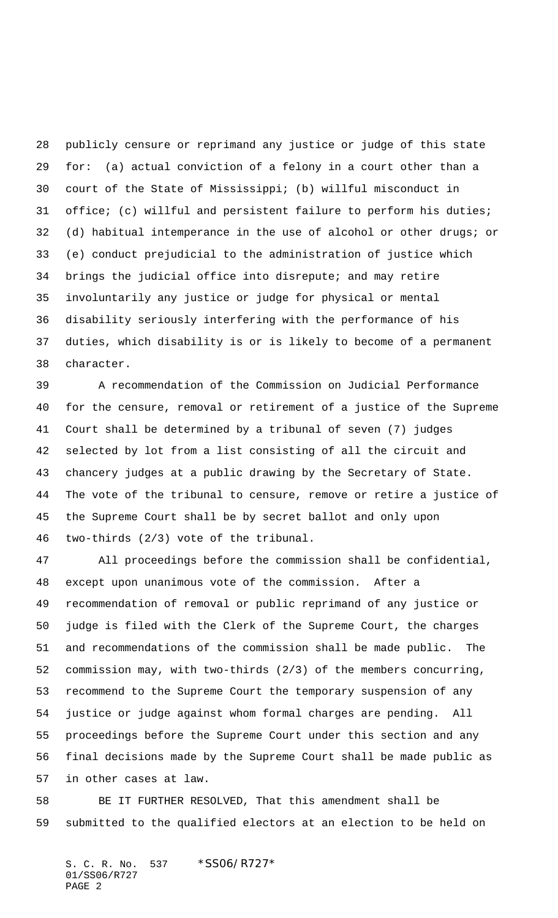publicly censure or reprimand any justice or judge of this state for: (a) actual conviction of a felony in a court other than a court of the State of Mississippi; (b) willful misconduct in office; (c) willful and persistent failure to perform his duties; (d) habitual intemperance in the use of alcohol or other drugs; or (e) conduct prejudicial to the administration of justice which brings the judicial office into disrepute; and may retire involuntarily any justice or judge for physical or mental disability seriously interfering with the performance of his duties, which disability is or is likely to become of a permanent character.

 A recommendation of the Commission on Judicial Performance for the censure, removal or retirement of a justice of the Supreme Court shall be determined by a tribunal of seven (7) judges selected by lot from a list consisting of all the circuit and chancery judges at a public drawing by the Secretary of State. The vote of the tribunal to censure, remove or retire a justice of the Supreme Court shall be by secret ballot and only upon two-thirds (2/3) vote of the tribunal.

 All proceedings before the commission shall be confidential, except upon unanimous vote of the commission. After a recommendation of removal or public reprimand of any justice or judge is filed with the Clerk of the Supreme Court, the charges and recommendations of the commission shall be made public. The commission may, with two-thirds (2/3) of the members concurring, recommend to the Supreme Court the temporary suspension of any justice or judge against whom formal charges are pending. All proceedings before the Supreme Court under this section and any final decisions made by the Supreme Court shall be made public as in other cases at law.

 BE IT FURTHER RESOLVED, That this amendment shall be submitted to the qualified electors at an election to be held on

S. C. R. No. 537 \* SS06/R727\* 01/SS06/R727 PAGE 2